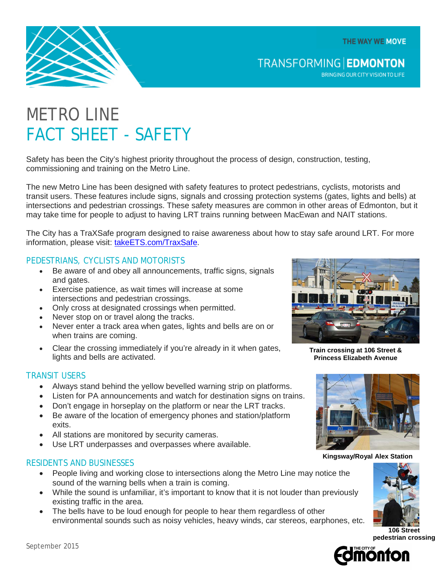THE WAY WE MOVE



**TRANSFORMING EDMONTON** 

BRINGING OUR CITY VISION TO LIFE

# METRO LINE FACT SHEET - SAFETY

Safety has been the City's highest priority throughout the process of design, construction, testing, commissioning and training on the Metro Line.

The new Metro Line has been designed with safety features to protect pedestrians, cyclists, motorists and transit users. These features include signs, signals and crossing protection systems (gates, lights and bells) at intersections and pedestrian crossings. These safety measures are common in other areas of Edmonton, but it may take time for people to adjust to having LRT trains running between MacEwan and NAIT stations.

The City has a TraXSafe program designed to raise awareness about how to stay safe around LRT. For more information, please visit: [takeETS.com/TraxSafe.](http://www.takeets.com/TraxSafe)

### PEDESTRIANS, CYCLISTS AND MOTORISTS

- Be aware of and obey all announcements, traffic signs, signals and gates.
- Exercise patience, as wait times will increase at some intersections and pedestrian crossings.
- Only cross at designated crossings when permitted.
- Never stop on or travel along the tracks.
- Never enter a track area when gates, lights and bells are on or when trains are coming.
- Clear the crossing immediately if you're already in it when gates, lights and bells are activated.

### TRANSIT USERS

- Always stand behind the yellow bevelled warning strip on platforms.
- Listen for PA announcements and watch for destination signs on trains.
- Don't engage in horseplay on the platform or near the LRT tracks.
- Be aware of the location of emergency phones and station/platform exits.
- All stations are monitored by security cameras.
- Use LRT underpasses and overpasses where available.

### RESIDENTS AND BUSINESSES

- People living and working close to intersections along the Metro Line may notice the sound of the warning bells when a train is coming.
- While the sound is unfamiliar, it's important to know that it is not louder than previously existing traffic in the area.
- The bells have to be loud enough for people to hear them regardless of other environmental sounds such as noisy vehicles, heavy winds, car stereos, earphones, etc.



**Train crossing at 106 Street & Princess Elizabeth Avenue**



**Kingsway/Royal Alex Station**



**106 Street pedestrian crossing**